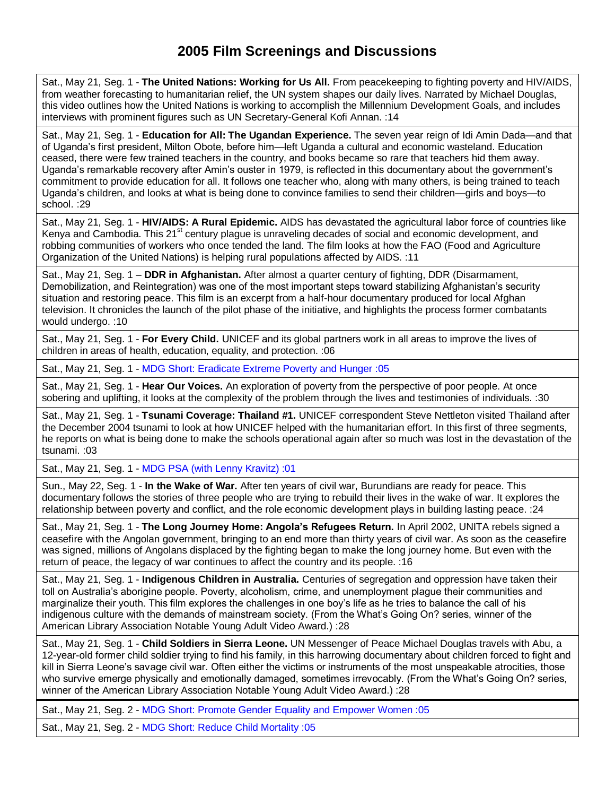## **2005 Film Screenings and Discussions**

Sat., May 21, Seg. 1 - **The United Nations: Working for Us All.** From peacekeeping to fighting poverty and HIV/AIDS, from weather forecasting to humanitarian relief, the UN system shapes our daily lives. Narrated by Michael Douglas, this video outlines how the United Nations is working to accomplish the Millennium Development Goals, and includes interviews with prominent figures such as UN Secretary-General Kofi Annan. :14

Sat., May 21, Seg. 1 - **Education for All: The Ugandan Experience.** The seven year reign of Idi Amin Dada—and that of Uganda's first president, Milton Obote, before him—left Uganda a cultural and economic wasteland. Education ceased, there were few trained teachers in the country, and books became so rare that teachers hid them away. Uganda's remarkable recovery after Amin's ouster in 1979, is reflected in this documentary about the government's commitment to provide education for all. It follows one teacher who, along with many others, is being trained to teach Uganda's children, and looks at what is being done to convince families to send their children—girls and boys—to school. :29

Sat., May 21, Seg. 1 - **HIV/AIDS: A Rural Epidemic.** AIDS has devastated the agricultural labor force of countries like Kenya and Cambodia. This 21<sup>st</sup> century plague is unraveling decades of social and economic development, and robbing communities of workers who once tended the land. The film looks at how the FAO (Food and Agriculture Organization of the United Nations) is helping rural populations affected by AIDS. :11

Sat., May 21, Seg. 1 – **DDR in Afghanistan.** After almost a quarter century of fighting, DDR (Disarmament, Demobilization, and Reintegration) was one of the most important steps toward stabilizing Afghanistan's security situation and restoring peace. This film is an excerpt from a half-hour documentary produced for local Afghan television. It chronicles the launch of the pilot phase of the initiative, and highlights the process former combatants would undergo. :10

Sat., May 21, Seg. 1 - **For Every Child.** UNICEF and its global partners work in all areas to improve the lives of children in areas of health, education, equality, and protection. :06

Sat., May 21, Seg. 1 - MDG Short: Eradicate Extreme Poverty and Hunger :05

Sat., May 21, Seg. 1 - **Hear Our Voices.** An exploration of poverty from the perspective of poor people. At once sobering and uplifting, it looks at the complexity of the problem through the lives and testimonies of individuals. :30

Sat., May 21, Seg. 1 - **Tsunami Coverage: Thailand #1.** UNICEF correspondent Steve Nettleton visited Thailand after the December 2004 tsunami to look at how UNICEF helped with the humanitarian effort. In this first of three segments, he reports on what is being done to make the schools operational again after so much was lost in the devastation of the tsunami. :03

Sat., May 21, Seg. 1 - MDG PSA (with Lenny Kravitz) :01

Sun., May 22, Seg. 1 - **In the Wake of War.** After ten years of civil war, Burundians are ready for peace. This documentary follows the stories of three people who are trying to rebuild their lives in the wake of war. It explores the relationship between poverty and conflict, and the role economic development plays in building lasting peace. :24

Sat., May 21, Seg. 1 - **The Long Journey Home: Angola's Refugees Return.** In April 2002, UNITA rebels signed a ceasefire with the Angolan government, bringing to an end more than thirty years of civil war. As soon as the ceasefire was signed, millions of Angolans displaced by the fighting began to make the long journey home. But even with the return of peace, the legacy of war continues to affect the country and its people. :16

Sat., May 21, Seg. 1 - **Indigenous Children in Australia.** Centuries of segregation and oppression have taken their toll on Australia's aborigine people. Poverty, alcoholism, crime, and unemployment plague their communities and marginalize their youth. This film explores the challenges in one boy's life as he tries to balance the call of his indigenous culture with the demands of mainstream society. (From the What's Going On? series, winner of the American Library Association Notable Young Adult Video Award.) :28

Sat., May 21, Seg. 1 - **Child Soldiers in Sierra Leone.** UN Messenger of Peace Michael Douglas travels with Abu, a 12-year-old former child soldier trying to find his family, in this harrowing documentary about children forced to fight and kill in Sierra Leone's savage civil war. Often either the victims or instruments of the most unspeakable atrocities, those who survive emerge physically and emotionally damaged, sometimes irrevocably. (From the What's Going On? series, winner of the American Library Association Notable Young Adult Video Award.) :28

Sat., May 21, Seg. 2 - MDG Short: Promote Gender Equality and Empower Women :05

Sat., May 21, Seg. 2 - MDG Short: Reduce Child Mortality :05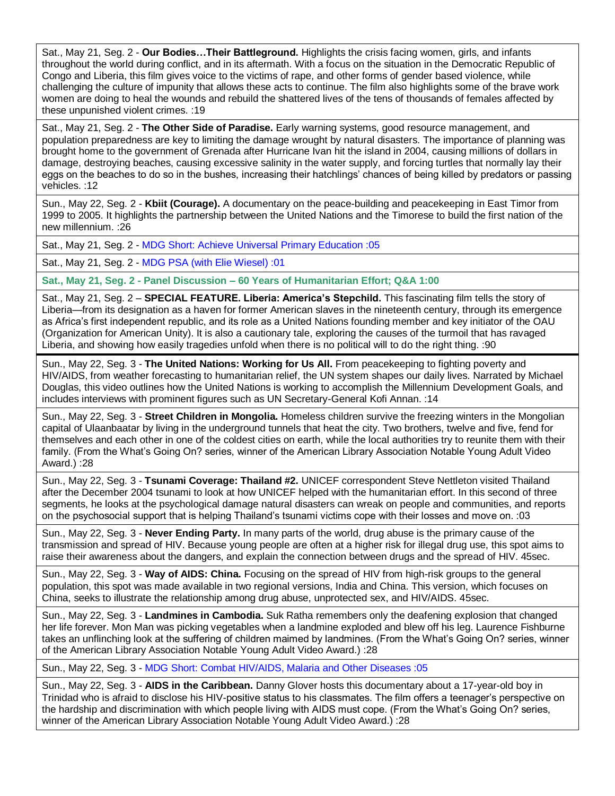Sat., May 21, Seg. 2 - **Our Bodies…Their Battleground.** Highlights the crisis facing women, girls, and infants throughout the world during conflict, and in its aftermath. With a focus on the situation in the Democratic Republic of Congo and Liberia, this film gives voice to the victims of rape, and other forms of gender based violence, while challenging the culture of impunity that allows these acts to continue. The film also highlights some of the brave work women are doing to heal the wounds and rebuild the shattered lives of the tens of thousands of females affected by these unpunished violent crimes. :19

Sat., May 21, Seg. 2 - **The Other Side of Paradise.** Early warning systems, good resource management, and population preparedness are key to limiting the damage wrought by natural disasters. The importance of planning was brought home to the government of Grenada after Hurricane Ivan hit the island in 2004, causing millions of dollars in damage, destroying beaches, causing excessive salinity in the water supply, and forcing turtles that normally lay their eggs on the beaches to do so in the bushes, increasing their hatchlings' chances of being killed by predators or passing vehicles. :12

Sun., May 22, Seg. 2 - **Kbiit (Courage).** A documentary on the peace-building and peacekeeping in East Timor from 1999 to 2005. It highlights the partnership between the United Nations and the Timorese to build the first nation of the new millennium. :26

Sat., May 21, Seg. 2 - MDG Short: Achieve Universal Primary Education :05

Sat., May 21, Seg. 2 - MDG PSA (with Elie Wiesel) :01

**Sat., May 21, Seg. 2 - Panel Discussion – 60 Years of Humanitarian Effort; Q&A 1:00**

Sat., May 21, Seg. 2 – **SPECIAL FEATURE. Liberia: America's Stepchild.** This fascinating film tells the story of Liberia—from its designation as a haven for former American slaves in the nineteenth century, through its emergence as Africa's first independent republic, and its role as a United Nations founding member and key initiator of the OAU (Organization for American Unity). It is also a cautionary tale, exploring the causes of the turmoil that has ravaged Liberia, and showing how easily tragedies unfold when there is no political will to do the right thing. :90

Sun., May 22, Seg. 3 - **The United Nations: Working for Us All.** From peacekeeping to fighting poverty and HIV/AIDS, from weather forecasting to humanitarian relief, the UN system shapes our daily lives. Narrated by Michael Douglas, this video outlines how the United Nations is working to accomplish the Millennium Development Goals, and includes interviews with prominent figures such as UN Secretary-General Kofi Annan. :14

Sun., May 22, Seg. 3 - **Street Children in Mongolia.** Homeless children survive the freezing winters in the Mongolian capital of Ulaanbaatar by living in the underground tunnels that heat the city. Two brothers, twelve and five, fend for themselves and each other in one of the coldest cities on earth, while the local authorities try to reunite them with their family. (From the What's Going On? series, winner of the American Library Association Notable Young Adult Video Award.) :28

Sun., May 22, Seg. 3 - **Tsunami Coverage: Thailand #2.** UNICEF correspondent Steve Nettleton visited Thailand after the December 2004 tsunami to look at how UNICEF helped with the humanitarian effort. In this second of three segments, he looks at the psychological damage natural disasters can wreak on people and communities, and reports on the psychosocial support that is helping Thailand's tsunami victims cope with their losses and move on. :03

Sun., May 22, Seg. 3 - **Never Ending Party.** In many parts of the world, drug abuse is the primary cause of the transmission and spread of HIV. Because young people are often at a higher risk for illegal drug use, this spot aims to raise their awareness about the dangers, and explain the connection between drugs and the spread of HIV. 45sec.

Sun., May 22, Seg. 3 - **Way of AIDS: China.** Focusing on the spread of HIV from high-risk groups to the general population, this spot was made available in two regional versions, India and China. This version, which focuses on China, seeks to illustrate the relationship among drug abuse, unprotected sex, and HIV/AIDS. 45sec.

Sun., May 22, Seg. 3 - **Landmines in Cambodia.** Suk Ratha remembers only the deafening explosion that changed her life forever. Mon Man was picking vegetables when a landmine exploded and blew off his leg. Laurence Fishburne takes an unflinching look at the suffering of children maimed by landmines. (From the What's Going On? series, winner of the American Library Association Notable Young Adult Video Award.) :28

Sun., May 22, Seg. 3 - MDG Short: Combat HIV/AIDS, Malaria and Other Diseases :05

Sun., May 22, Seg. 3 - **AIDS in the Caribbean.** Danny Glover hosts this documentary about a 17-year-old boy in Trinidad who is afraid to disclose his HIV-positive status to his classmates. The film offers a teenager's perspective on the hardship and discrimination with which people living with AIDS must cope. (From the What's Going On? series, winner of the American Library Association Notable Young Adult Video Award.) :28